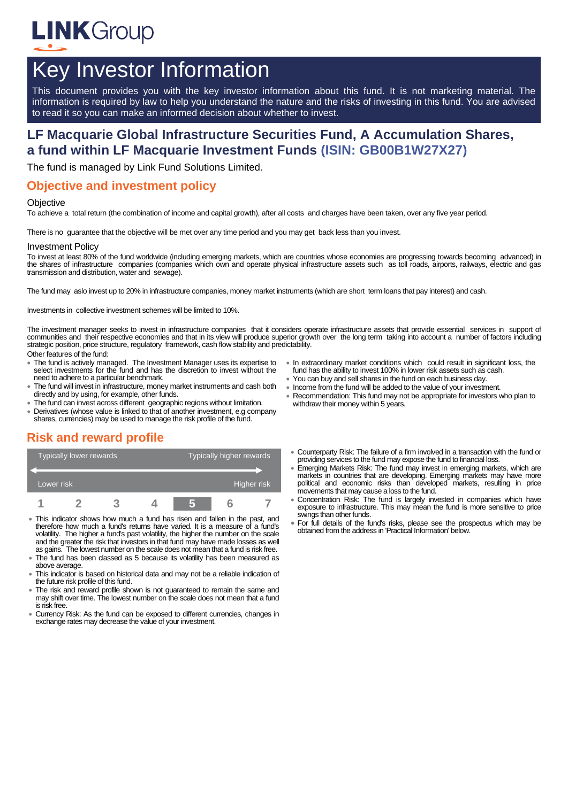

# Key Investor Information

This document provides you with the key investor information about this fund. It is not marketing material. The information is required by law to help you understand the nature and the risks of investing in this fund. You are advised to read it so you can make an informed decision about whether to invest.

# **LF Macquarie Global Infrastructure Securities Fund, A Accumulation Shares, a fund within LF Macquarie Investment Funds (ISIN: GB00B1W27X27)**

The fund is managed by Link Fund Solutions Limited.

### **Objective and investment policy**

#### **Objective**

To achieve a total return (the combination of income and capital growth), after all costs and charges have been taken, over any five year period.

There is no guarantee that the objective will be met over any time period and you may get back less than you invest.

#### Investment Policy

To invest at least 80% of the fund worldwide (including emerging markets, which are countries whose economies are progressing towards becoming advanced) in the shares of infrastructure companies (companies which own and operate physical infrastructure assets such as toll roads, airports, railways, electric and gas transmission and distribution, water and sewage).

The fund may aslo invest up to 20% in infrastructure companies, money market instruments (which are short term loans that pay interest) and cash.

Investments in collective investment schemes will be limited to 10%.

The investment manager seeks to invest in infrastructure companies that it considers operate infrastructure assets that provide essential services in support of communities and their respective economies and that in its view will produce superior growth over the long term taking into account a number of factors including strategic position, price structure, regulatory framework, cash flow stability and predictability. Other features of the fund:

- The fund is actively managed. The Investment Manager uses its expertise to select investments for the fund and has the discretion to invest without the need to adhere to a particular benchmark.
- The fund will invest in infrastructure, money market instruments and cash both directly and by using, for example, other funds.
- The fund can invest across different geographic regions without limitation.
- Derivatives (whose value is linked to that of another investment, e.g company shares, currencies) may be used to manage the risk profile of the fund.

# **Risk and reward profile**

| Typically lower rewards |  |  |  | Typically higher rewards |  |             |
|-------------------------|--|--|--|--------------------------|--|-------------|
| Lower risk              |  |  |  |                          |  | Higher risk |
|                         |  |  |  |                          |  |             |

- This indicator shows how much a fund has risen and fallen in the past, and therefore how much a fund's returns have varied. It is a measure of a fund's volatility. The higher a fund's past volatility, the higher the number on the scale and the greater the risk that investors in that fund may have made losses as well as gains. The lowest number on the scale does not mean that a fund is risk free.
- The fund has been classed as 5 because its volatility has been measured as above average.
- This indicator is based on historical data and may not be a reliable indication of the future risk profile of this fund.
- The risk and reward profile shown is not guaranteed to remain the same and may shift over time. The lowest number on the scale does not mean that a fund is risk free.
- Currency Risk: As the fund can be exposed to different currencies, changes in exchange rates may decrease the value of your investment.
- In extraordinary market conditions which could result in significant loss, the fund has the ability to invest 100% in lower risk assets such as cash.
- You can buy and sell shares in the fund on each business day.
- Income from the fund will be added to the value of your investment.
- Recommendation: This fund may not be appropriate for investors who plan to withdraw their money within 5 years.
- Counterparty Risk: The failure of a firm involved in a transaction with the fund or providing services to the fund may expose the fund to financial loss.
- Emerging Markets Risk: The fund may invest in emerging markets, which are markets in countries that are developing. Emerging markets may have more political and economic risks than developed markets, resulting in price movements that may cause a loss to the fund.
- Concentration Risk: The fund is largely invested in companies which have exposure to infrastructure. This may mean the fund is more sensitive to price swings than other funds.
- For full details of the fund's risks, please see the prospectus which may be obtained from the address in 'Practical Information' below.